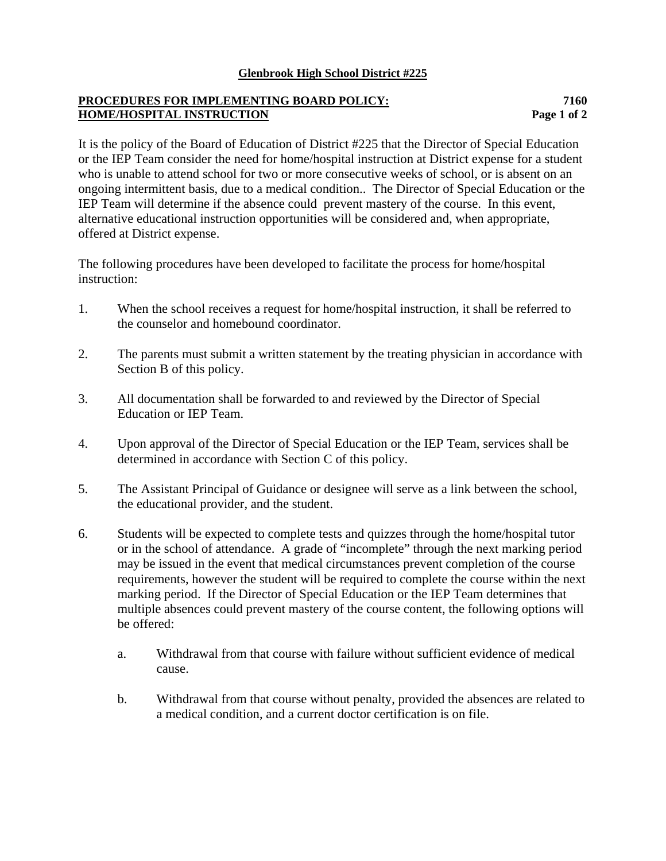## **Glenbrook High School District #225**

## **PROCEDURES FOR IMPLEMENTING BOARD POLICY: 7160 HOME/HOSPITAL INSTRUCTION Page 1 of 2**

It is the policy of the Board of Education of District #225 that the Director of Special Education or the IEP Team consider the need for home/hospital instruction at District expense for a student who is unable to attend school for two or more consecutive weeks of school, or is absent on an ongoing intermittent basis, due to a medical condition.. The Director of Special Education or the IEP Team will determine if the absence could prevent mastery of the course. In this event, alternative educational instruction opportunities will be considered and, when appropriate, offered at District expense.

The following procedures have been developed to facilitate the process for home/hospital instruction:

- 1. When the school receives a request for home/hospital instruction, it shall be referred to the counselor and homebound coordinator.
- 2. The parents must submit a written statement by the treating physician in accordance with Section B of this policy.
- 3. All documentation shall be forwarded to and reviewed by the Director of Special Education or IEP Team.
- 4. Upon approval of the Director of Special Education or the IEP Team, services shall be determined in accordance with Section C of this policy.
- 5. The Assistant Principal of Guidance or designee will serve as a link between the school, the educational provider, and the student.
- 6. Students will be expected to complete tests and quizzes through the home/hospital tutor or in the school of attendance. A grade of "incomplete" through the next marking period may be issued in the event that medical circumstances prevent completion of the course requirements, however the student will be required to complete the course within the next marking period. If the Director of Special Education or the IEP Team determines that multiple absences could prevent mastery of the course content, the following options will be offered:
	- a. Withdrawal from that course with failure without sufficient evidence of medical cause.
	- b. Withdrawal from that course without penalty, provided the absences are related to a medical condition, and a current doctor certification is on file.